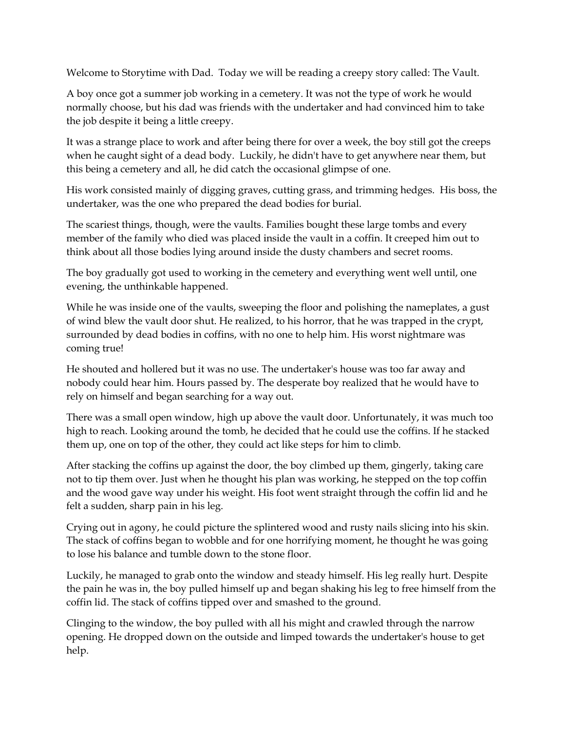Welcome to Storytime with Dad. Today we will be reading a creepy story called: The Vault.

A boy once got a summer job working in a cemetery. It was not the type of work he would normally choose, but his dad was friends with the undertaker and had convinced him to take the job despite it being a little creepy.

It was a strange place to work and after being there for over a week, the boy still got the creeps when he caught sight of a dead body. Luckily, he didn't have to get anywhere near them, but this being a cemetery and all, he did catch the occasional glimpse of one.

His work consisted mainly of digging graves, cutting grass, and trimming hedges. His boss, the undertaker, was the one who prepared the dead bodies for burial.

The scariest things, though, were the vaults. Families bought these large tombs and every member of the family who died was placed inside the vault in a coffin. It creeped him out to think about all those bodies lying around inside the dusty chambers and secret rooms.

The boy gradually got used to working in the cemetery and everything went well until, one evening, the unthinkable happened.

While he was inside one of the vaults, sweeping the floor and polishing the nameplates, a gust of wind blew the vault door shut. He realized, to his horror, that he was trapped in the crypt, surrounded by dead bodies in coffins, with no one to help him. His worst nightmare was coming true!

He shouted and hollered but it was no use. The undertaker's house was too far away and nobody could hear him. Hours passed by. The desperate boy realized that he would have to rely on himself and began searching for a way out.

There was a small open window, high up above the vault door. Unfortunately, it was much too high to reach. Looking around the tomb, he decided that he could use the coffins. If he stacked them up, one on top of the other, they could act like steps for him to climb.

After stacking the coffins up against the door, the boy climbed up them, gingerly, taking care not to tip them over. Just when he thought his plan was working, he stepped on the top coffin and the wood gave way under his weight. His foot went straight through the coffin lid and he felt a sudden, sharp pain in his leg.

Crying out in agony, he could picture the splintered wood and rusty nails slicing into his skin. The stack of coffins began to wobble and for one horrifying moment, he thought he was going to lose his balance and tumble down to the stone floor.

Luckily, he managed to grab onto the window and steady himself. His leg really hurt. Despite the pain he was in, the boy pulled himself up and began shaking his leg to free himself from the coffin lid. The stack of coffins tipped over and smashed to the ground.

Clinging to the window, the boy pulled with all his might and crawled through the narrow opening. He dropped down on the outside and limped towards the undertaker's house to get help.